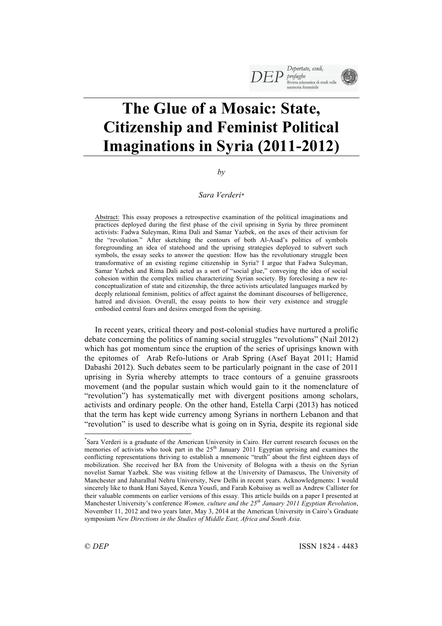# **The Glue of a Mosaic: State, Citizenship and Feminist Political Imaginations in Syria (2011-2012)**

*by*

# *Sara Verderi\**

Abstract: This essay proposes a retrospective examination of the political imaginations and practices deployed during the first phase of the civil uprising in Syria by three prominent activists: Fadwa Suleyman, Rima Dali and Samar Yazbek, on the axes of their activism for the "revolution." After sketching the contours of both Al-Asad's politics of symbols foregrounding an idea of statehood and the uprising strategies deployed to subvert such symbols, the essay seeks to answer the question: How has the revolutionary struggle been transformative of an existing regime citizenship in Syria? I argue that Fadwa Suleyman, Samar Yazbek and Rima Dali acted as a sort of "social glue," conveying the idea of social cohesion within the complex milieu characterizing Syrian society. By foreclosing a new reconceptualization of state and citizenship, the three activists articulated languages marked by deeply relational feminism, politics of affect against the dominant discourses of belligerence, hatred and division. Overall, the essay points to how their very existence and struggle embodied central fears and desires emerged from the uprising.

In recent years, critical theory and post-colonial studies have nurtured a prolific debate concerning the politics of naming social struggles "revolutions" (Nail 2012) which has got momentum since the eruption of the series of uprisings known with the epitomes of Arab Refo-lutions or Arab Spring (Asef Bayat 2011; Hamid Dabashi 2012). Such debates seem to be particularly poignant in the case of 2011 uprising in Syria whereby attempts to trace contours of a genuine grassroots movement (and the popular sustain which would gain to it the nomenclature of "revolution") has systematically met with divergent positions among scholars, activists and ordinary people. On the other hand, Estella Carpi (2013) has noticed that the term has kept wide currency among Syrians in northern Lebanon and that "revolution" is used to describe what is going on in Syria, despite its regional side

 <sup>\*</sup> <sup>\*</sup>Sara Verderi is a graduate of the American University in Cairo. Her current research focuses on the memories of activists who took part in the 25<sup>th</sup> January 2011 Egyptian uprising and examines the conflicting representations thriving to establish a mnemonic "truth" about the first eighteen days of mobilization. She received her BA from the University of Bologna with a thesis on the Syrian novelist Samar Yazbek. She was visiting fellow at the University of Damascus, The University of Manchester and Jaharalhal Nehru University, New Delhi in recent years. Acknowledgments: I would sincerely like to thank Hani Sayed, Kenza Yousfi, and Farah Kobaissy as well as Andrew Callister for their valuable comments on earlier versions of this essay. This article builds on a paper I presented at Manchester University's conference *Women, culture and the 25th January 2011 Egyptian Revolution*, November 11, 2012 and two years later, May 3, 2014 at the American University in Cairo's Graduate symposium *New Directions in the Studies of Middle East, Africa and South Asia*.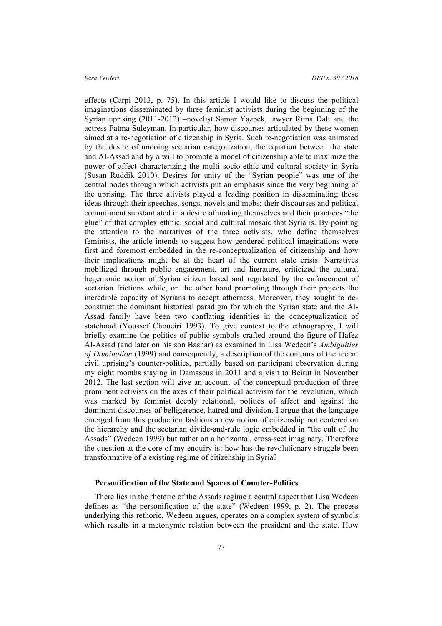effects (Carpi 2013, p. 75). In this article I would like to discuss the political imaginations disseminated by three feminist activists during the beginning of the Syrian uprising (2011-2012) –novelist Samar Yazbek, lawyer Rima Dali and the actress Fatma Suleyman. In particular, how discourses articulated by these women aimed at a re-negotiation of citizenship in Syria. Such re-negotiation was animated by the desire of undoing sectarian categorization, the equation between the state and Al-Assad and by a will to promote a model of citizenship able to maximize the power of affect characterizing the multi socio-ethic and cultural society in Syria (Susan Ruddik 2010). Desires for unity of the "Syrian people" was one of the central nodes through which activists put an emphasis since the very beginning of the uprising. The three ativists played a leading position in disseminating these ideas through their speeches, songs, novels and mobs; their discourses and political commitment substantiated in a desire of making themselves and their practices "the glue" of that complex ethnic, social and cultural mosaic that Syria is. By pointing the attention to the narratives of the three activists, who define themselves feminists, the article intends to suggest how gendered political imaginations were first and foremost embedded in the re-conceptualization of citizenship and how their implications might be at the heart of the current state crisis. Narratives mobilized through public engagement, art and literature, criticized the cultural hegemonic notion of Syrian citizen based and regulated by the enforcement of sectarian frictions while, on the other hand promoting through their projects the incredible capacity of Syrians to accept otherness. Moreover, they sought to deconstruct the dominant historical paradigm for which the Syrian state and the Al-Assad family have been two conflating identities in the conceptualization of statehood (Youssef Choueiri 1993). To give context to the ethnography, I will briefly examine the politics of public symbols crafted around the figure of Hafez Al-Assad (and later on his son Bashar) as examined in Lisa Wedeen's *Ambiguities of Domination* (1999) and consequently, a description of the contours of the recent civil uprising's counter-politics, partially based on participant observation during my eight months staying in Damascus in 2011 and a visit to Beirut in November 2012. The last section will give an account of the conceptual production of three prominent activists on the axes of their political activism for the revolution, which was marked by feminist deeply relational, politics of affect and against the dominant discourses of belligerence, hatred and division. I argue that the language emerged from this production fashions a new notion of citizenship not centered on the hierarchy and the sectarian divide-and-rule logic embedded in "the cult of the Assads" (Wedeen 1999) but rather on a horizontal, cross-sect imaginary. Therefore the question at the core of my enquiry is: how has the revolutionary struggle been transformative of a existing regime of citizenship in Syria?

# **Personification of the State and Spaces of Counter-Politics**

There lies in the rhetoric of the Assads regime a central aspect that Lisa Wedeen defines as "the personification of the state" (Wedeen 1999, p. 2). The process underlying this rethoric, Wedeen argues, operates on a complex system of symbols which results in a metonymic relation between the president and the state. How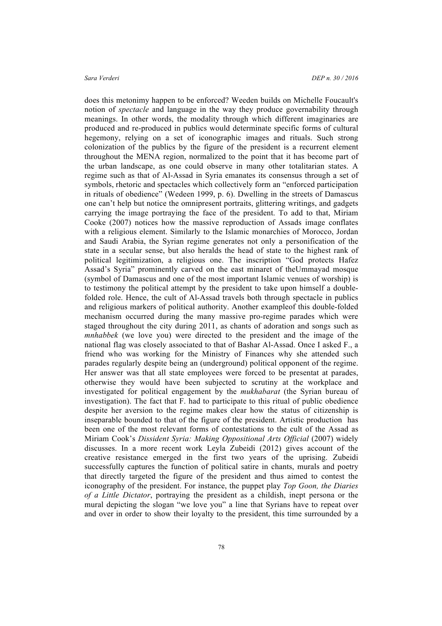does this metonimy happen to be enforced? Weeden builds on Michelle Foucault's notion of *spectacle* and language in the way they produce governability through meanings. In other words, the modality through which different imaginaries are produced and re-produced in publics would determinate specific forms of cultural hegemony, relying on a set of iconographic images and rituals. Such strong colonization of the publics by the figure of the president is a recurrent element throughout the MENA region, normalized to the point that it has become part of the urban landscape, as one could observe in many other totalitarian states. A regime such as that of Al-Assad in Syria emanates its consensus through a set of symbols, rhetoric and spectacles which collectively form an "enforced participation in rituals of obedience" (Wedeen 1999, p. 6). Dwelling in the streets of Damascus one can't help but notice the omnipresent portraits, glittering writings, and gadgets carrying the image portraying the face of the president. To add to that, Miriam Cooke (2007) notices how the massive reproduction of Assads image conflates with a religious element. Similarly to the Islamic monarchies of Morocco, Jordan and Saudi Arabia, the Syrian regime generates not only a personification of the state in a secular sense, but also heralds the head of state to the highest rank of political legitimization, a religious one. The inscription "God protects Hafez Assad's Syria" prominently carved on the east minaret of theUmmayad mosque (symbol of Damascus and one of the most important Islamic venues of worship) is to testimony the political attempt by the president to take upon himself a doublefolded role. Hence, the cult of Al-Assad travels both through spectacle in publics and religious markers of political authority. Another exampleof this double-folded mechanism occurred during the many massive pro-regime parades which were staged throughout the city during 2011, as chants of adoration and songs such as *mnhabbek* (we love you) were directed to the president and the image of the national flag was closely associated to that of Bashar Al-Assad. Once I asked F., a friend who was working for the Ministry of Finances why she attended such parades regularly despite being an (underground) political opponent of the regime. Her answer was that all state employees were forced to be presentat at parades, otherwise they would have been subjected to scrutiny at the workplace and investigated for political engagement by the *mukhabarat* (the Syrian bureau of investigation). The fact that F. had to participate to this ritual of public obedience despite her aversion to the regime makes clear how the status of citizenship is inseparable bounded to that of the figure of the president. Artistic production has been one of the most relevant forms of contestations to the cult of the Assad as Miriam Cook's *Dissident Syria: Making Oppositional Arts Official* (2007) widely discusses. In a more recent work Leyla Zubeidi (2012) gives account of the creative resistance emerged in the first two years of the uprising. Zubeidi successfully captures the function of political satire in chants, murals and poetry that directly targeted the figure of the president and thus aimed to contest the iconography of the president. For instance, the puppet play *Top Goon, the Diaries of a Little Dictator*, portraying the president as a childish, inept persona or the mural depicting the slogan "we love you" a line that Syrians have to repeat over and over in order to show their loyalty to the president, this time surrounded by a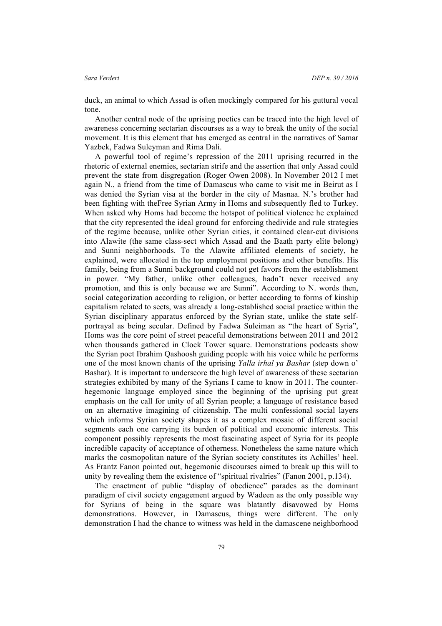duck, an animal to which Assad is often mockingly compared for his guttural vocal tone.

Another central node of the uprising poetics can be traced into the high level of awareness concerning sectarian discourses as a way to break the unity of the social movement. It is this element that has emerged as central in the narratives of Samar Yazbek, Fadwa Suleyman and Rima Dali.

A powerful tool of regime's repression of the 2011 uprising recurred in the rhetoric of external enemies, sectarian strife and the assertion that only Assad could prevent the state from disgregation (Roger Owen 2008). In November 2012 I met again N., a friend from the time of Damascus who came to visit me in Beirut as I was denied the Syrian visa at the border in the city of Masnaa. N.'s brother had been fighting with theFree Syrian Army in Homs and subsequently fled to Turkey. When asked why Homs had become the hotspot of political violence he explained that the city represented the ideal ground for enforcing thedivide and rule strategies of the regime because, unlike other Syrian cities, it contained clear-cut divisions into Alawite (the same class-sect which Assad and the Baath party elite belong) and Sunni neighborhoods. To the Alawite affiliated elements of society, he explained, were allocated in the top employment positions and other benefits. His family, being from a Sunni background could not get favors from the establishment in power. "My father, unlike other colleagues, hadn't never received any promotion, and this is only because we are Sunni". According to N. words then, social categorization according to religion, or better according to forms of kinship capitalism related to sects, was already a long-established social practice within the Syrian disciplinary apparatus enforced by the Syrian state, unlike the state selfportrayal as being secular. Defined by Fadwa Suleiman as "the heart of Syria", Homs was the core point of street peaceful demonstrations between 2011 and 2012 when thousands gathered in Clock Tower square. Demonstrations podcasts show the Syrian poet Ibrahim Qashoosh guiding people with his voice while he performs one of the most known chants of the uprising *Yalla irhal ya Bashar* (step down o' Bashar). It is important to underscore the high level of awareness of these sectarian strategies exhibited by many of the Syrians I came to know in 2011. The counterhegemonic language employed since the beginning of the uprising put great emphasis on the call for unity of all Syrian people; a language of resistance based on an alternative imagining of citizenship. The multi confessional social layers which informs Syrian society shapes it as a complex mosaic of different social segments each one carrying its burden of political and economic interests. This component possibly represents the most fascinating aspect of Syria for its people incredible capacity of acceptance of otherness. Nonetheless the same nature which marks the cosmopolitan nature of the Syrian society constitutes its Achilles' heel. As Frantz Fanon pointed out, hegemonic discourses aimed to break up this will to unity by revealing them the existence of "spiritual rivalries" (Fanon 2001, p.134).

The enactment of public "display of obedience" parades as the dominant paradigm of civil society engagement argued by Wadeen as the only possible way for Syrians of being in the square was blatantly disavowed by Homs demonstrations. However, in Damascus, things were different. The only demonstration I had the chance to witness was held in the damascene neighborhood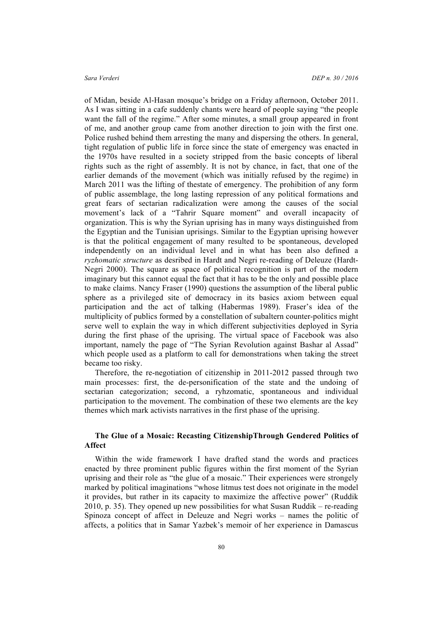of Midan, beside Al-Hasan mosque's bridge on a Friday afternoon, October 2011. As I was sitting in a cafe suddenly chants were heard of people saying "the people want the fall of the regime." After some minutes, a small group appeared in front of me, and another group came from another direction to join with the first one. Police rushed behind them arresting the many and dispersing the others. In general, tight regulation of public life in force since the state of emergency was enacted in the 1970s have resulted in a society stripped from the basic concepts of liberal rights such as the right of assembly. It is not by chance, in fact, that one of the earlier demands of the movement (which was initially refused by the regime) in March 2011 was the lifting of thestate of emergency. The prohibition of any form of public assemblage, the long lasting repression of any political formations and great fears of sectarian radicalization were among the causes of the social movement's lack of a "Tahrir Square moment" and overall incapacity of organization. This is why the Syrian uprising has in many ways distinguished from the Egyptian and the Tunisian uprisings. Similar to the Egyptian uprising however is that the political engagement of many resulted to be spontaneous, developed independently on an individual level and in what has been also defined a *ryzhomatic structure* as desribed in Hardt and Negri re-reading of Deleuze (Hardt-Negri 2000). The square as space of political recognition is part of the modern imaginary but this cannot equal the fact that it has to be the only and possible place to make claims. Nancy Fraser (1990) questions the assumption of the liberal public sphere as a privileged site of democracy in its basics axiom between equal participation and the act of talking (Habermas 1989). Fraser's idea of the multiplicity of publics formed by a constellation of subaltern counter-politics might serve well to explain the way in which different subjectivities deployed in Syria during the first phase of the uprising. The virtual space of Facebook was also important, namely the page of "The Syrian Revolution against Bashar al Assad" which people used as a platform to call for demonstrations when taking the street became too risky.

Therefore, the re-negotiation of citizenship in 2011-2012 passed through two main processes: first, the de-personification of the state and the undoing of sectarian categorization; second, a ryhzomatic, spontaneous and individual participation to the movement. The combination of these two elements are the key themes which mark activists narratives in the first phase of the uprising.

# **The Glue of a Mosaic: Recasting CitizenshipThrough Gendered Politics of Affect**

Within the wide framework I have drafted stand the words and practices enacted by three prominent public figures within the first moment of the Syrian uprising and their role as "the glue of a mosaic." Their experiences were strongely marked by political imaginations "whose litmus test does not originate in the model it provides, but rather in its capacity to maximize the affective power" (Ruddik 2010, p. 35). They opened up new possibilities for what Susan Ruddik – re-reading Spinoza concept of affect in Deleuze and Negri works – names the politic of affects, a politics that in Samar Yazbek's memoir of her experience in Damascus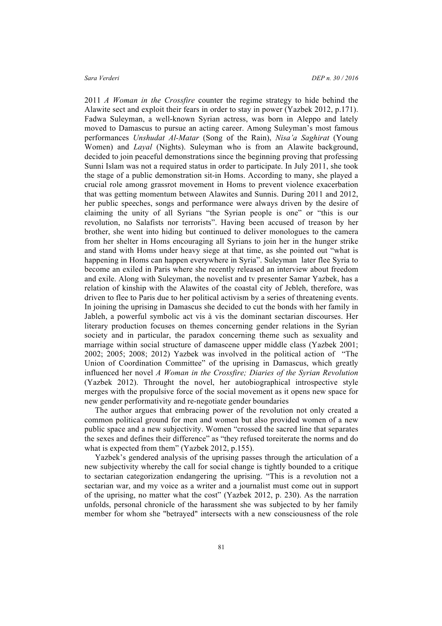2011 *A Woman in the Crossfire* counter the regime strategy to hide behind the Alawite sect and exploit their fears in order to stay in power (Yazbek 2012, p.171). Fadwa Suleyman, a well-known Syrian actress, was born in Aleppo and lately moved to Damascus to pursue an acting career. Among Suleyman's most famous performances *Unshudat Al-Matar* (Song of the Rain), *Nisa'a Saghirat* (Young Women) and *Layal* (Nights). Suleyman who is from an Alawite background, decided to join peaceful demonstrations since the beginning proving that professing Sunni Islam was not a required status in order to participate. In July 2011, she took the stage of a public demonstration sit-in Homs. According to many, she played a crucial role among grassrot movement in Homs to prevent violence exacerbation that was getting momentum between Alawites and Sunnis. During 2011 and 2012, her public speeches, songs and performance were always driven by the desire of claiming the unity of all Syrians "the Syrian people is one" or "this is our revolution, no Salafists nor terrorists". Having been accused of treason by her brother, she went into hiding but continued to deliver monologues to the camera from her shelter in Homs encouraging all Syrians to join her in the hunger strike and stand with Homs under heavy siege at that time, as she pointed out "what is happening in Homs can happen everywhere in Syria". Suleyman later flee Syria to become an exiled in Paris where she recently released an interview about freedom and exile. Along with Suleyman, the novelist and tv presenter Samar Yazbek, has a relation of kinship with the Alawites of the coastal city of Jebleh, therefore, was driven to flee to Paris due to her political activism by a series of threatening events. In joining the uprising in Damascus she decided to cut the bonds with her family in Jableh, a powerful symbolic act vis à vis the dominant sectarian discourses. Her literary production focuses on themes concerning gender relations in the Syrian society and in particular, the paradox concerning theme such as sexuality and marriage within social structure of damascene upper middle class (Yazbek 2001; 2002; 2005; 2008; 2012) Yazbek was involved in the political action of "The Union of Coordination Committee" of the uprising in Damascus, which greatly influenced her novel *A Woman in the Crossfire; Diaries of the Syrian Revolution* (Yazbek 2012). Throught the novel, her autobiographical introspective style merges with the propulsive force of the social movement as it opens new space for new gender performativity and re-negotiate gender boundaries

The author argues that embracing power of the revolution not only created a common political ground for men and women but also provided women of a new public space and a new subjectivity. Women "crossed the sacred line that separates the sexes and defines their difference" as "they refused toreiterate the norms and do what is expected from them" (Yazbek 2012, p.155).

Yazbek's gendered analysis of the uprising passes through the articulation of a new subjectivity whereby the call for social change is tightly bounded to a critique to sectarian categorization endangering the uprising. "This is a revolution not a sectarian war, and my voice as a writer and a journalist must come out in support of the uprising, no matter what the cost" (Yazbek 2012, p. 230). As the narration unfolds, personal chronicle of the harassment she was subjected to by her family member for whom she "betrayed" intersects with a new consciousness of the role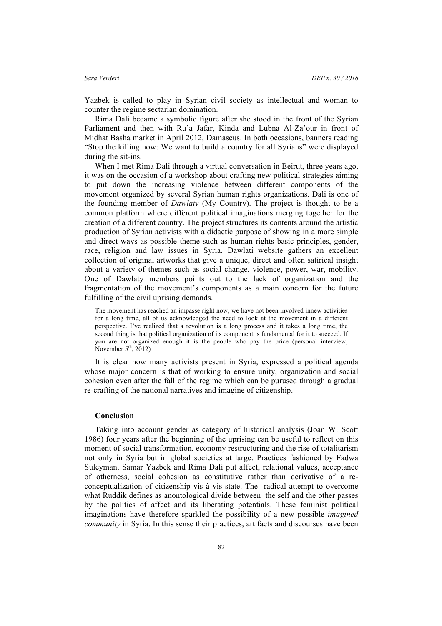Yazbek is called to play in Syrian civil society as intellectual and woman to counter the regime sectarian domination.

Rima Dali became a symbolic figure after she stood in the front of the Syrian Parliament and then with Ru'a Jafar, Kinda and Lubna Al-Za'our in front of Midhat Basha market in April 2012, Damascus. In both occasions, banners reading "Stop the killing now: We want to build a country for all Syrians" were displayed during the sit-ins.

When I met Rima Dali through a virtual conversation in Beirut, three years ago, it was on the occasion of a workshop about crafting new political strategies aiming to put down the increasing violence between different components of the movement organized by several Syrian human rights organizations. Dali is one of the founding member of *Dawlaty* (My Country). The project is thought to be a common platform where different political imaginations merging together for the creation of a different country. The project structures its contents around the artistic production of Syrian activists with a didactic purpose of showing in a more simple and direct ways as possible theme such as human rights basic principles, gender, race, religion and law issues in Syria. Dawlati website gathers an excellent collection of original artworks that give a unique, direct and often satirical insight about a variety of themes such as social change, violence, power, war, mobility. One of Dawlaty members points out to the lack of organization and the fragmentation of the movement's components as a main concern for the future fulfilling of the civil uprising demands.

The movement has reached an impasse right now, we have not been involved innew activities for a long time, all of us acknowledged the need to look at the movement in a different perspective. I've realized that a revolution is a long process and it takes a long time, the second thing is that political organization of its component is fundamental for it to succeed. If you are not organized enough it is the people who pay the price (personal interview, November  $5<sup>th</sup>$ , 2012)

It is clear how many activists present in Syria, expressed a political agenda whose major concern is that of working to ensure unity, organization and social cohesion even after the fall of the regime which can be purused through a gradual re-crafting of the national narratives and imagine of citizenship.

# **Conclusion**

Taking into account gender as category of historical analysis (Joan W. Scott 1986) four years after the beginning of the uprising can be useful to reflect on this moment of social transformation, economy restructuring and the rise of totalitarism not only in Syria but in global societies at large. Practices fashioned by Fadwa Suleyman, Samar Yazbek and Rima Dali put affect, relational values, acceptance of otherness, social cohesion as constitutive rather than derivative of a reconceptualization of citizenship vis à vis state. The radical attempt to overcome what Ruddik defines as anontological divide between the self and the other passes by the politics of affect and its liberating potentials. These feminist political imaginations have therefore sparkled the possibility of a new possible *imagined community* in Syria. In this sense their practices, artifacts and discourses have been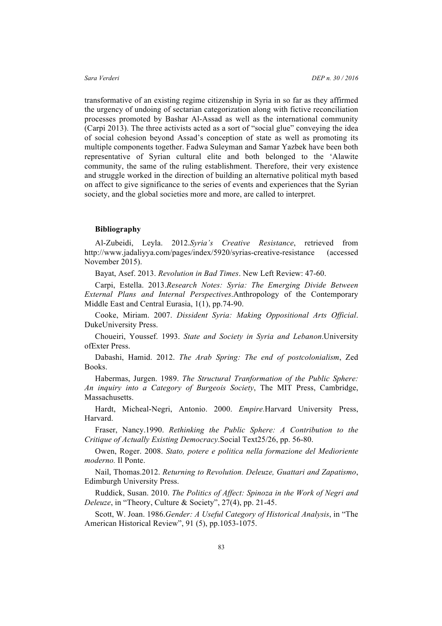transformative of an existing regime citizenship in Syria in so far as they affirmed the urgency of undoing of sectarian categorization along with fictive reconciliation processes promoted by Bashar Al-Assad as well as the international community (Carpi 2013). The three activists acted as a sort of "social glue" conveying the idea of social cohesion beyond Assad's conception of state as well as promoting its multiple components together. Fadwa Suleyman and Samar Yazbek have been both representative of Syrian cultural elite and both belonged to the 'Alawite community, the same of the ruling establishment. Therefore, their very existence and struggle worked in the direction of building an alternative political myth based on affect to give significance to the series of events and experiences that the Syrian society, and the global societies more and more, are called to interpret.

### **Bibliography**

Al-Zubeidi, Leyla. 2012.*Syria's Creative Resistance*, retrieved from http://www.jadaliyya.com/pages/index/5920/syrias-creative-resistance (accessed November 2015).

Bayat, Asef. 2013. *Revolution in Bad Times*. New Left Review: 47-60.

Carpi, Estella. 2013.*Research Notes: Syria: The Emerging Divide Between External Plans and Internal Perspectives*.Anthropology of the Contemporary Middle East and Central Eurasia, 1(1), pp.74-90.

Cooke, Miriam. 2007. *Dissident Syria: Making Oppositional Arts Official*. DukeUniversity Press.

Choueiri, Youssef. 1993. *State and Society in Syria and Lebanon*.University ofExter Press.

Dabashi, Hamid. 2012. *The Arab Spring: The end of postcolonialism*, Zed Books.

Habermas, Jurgen. 1989. *The Structural Tranformation of the Public Sphere: An inquiry into a Category of Burgeois Society*, The MIT Press, Cambridge, Massachusetts.

Hardt, Micheal-Negri, Antonio. 2000. *Empire.*Harvard University Press, Harvard.

Fraser, Nancy.1990. *Rethinking the Public Sphere: A Contribution to the Critique of Actually Existing Democracy*.Social Text25/26, pp. 56-80.

Owen, Roger. 2008. *Stato, potere e politica nella formazione del Medioriente moderno.* Il Ponte.

Nail, Thomas.2012. *Returning to Revolution. Deleuze, Guattari and Zapatismo*, Edimburgh University Press.

Ruddick, Susan. 2010. *The Politics of Affect: Spinoza in the Work of Negri and Deleuze*, in "Theory, Culture & Society", 27(4), pp. 21-45.

Scott, W. Joan. 1986.*Gender: A Useful Category of Historical Analysis*, in "The American Historical Review", 91 (5), pp.1053-1075.